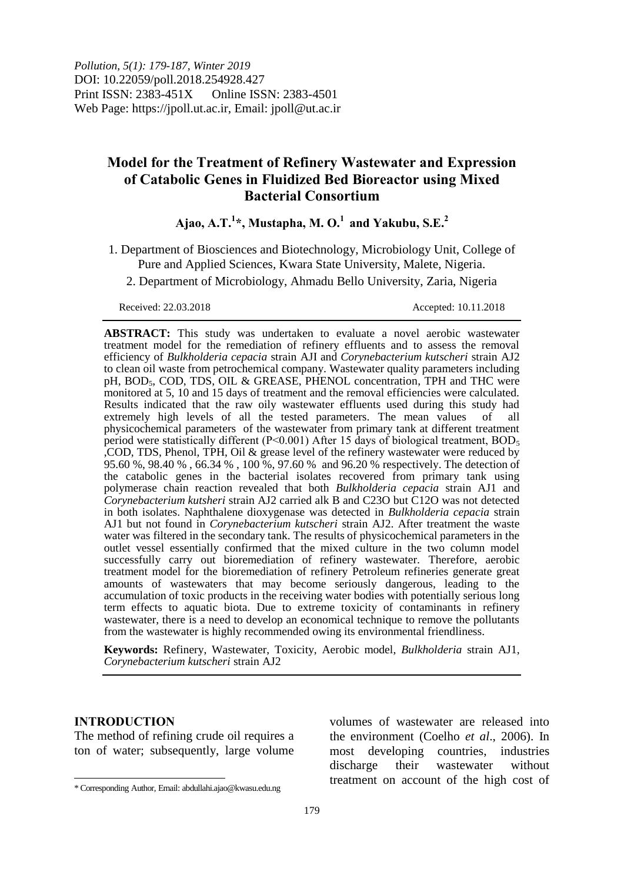*Pollution, 5(1): 179-187, Winter 2019* DOI: 10.22059/poll.2018.254928.427 Print ISSN: 2383-451X Online ISSN: 2383-4501 Web Page: https://jpoll.ut.ac.ir, Email: jpoll@ut.ac.ir

# **Model for the Treatment of Refinery Wastewater and Expression of Catabolic Genes in Fluidized Bed Bioreactor using Mixed Bacterial Consortium**

# **Ajao, A.T.<sup>1</sup> \*, Mustapha, M. O.<sup>1</sup> and Yakubu, S.E. 2**

- 1. Department of Biosciences and Biotechnology, Microbiology Unit, College of Pure and Applied Sciences, Kwara State University, Malete, Nigeria.
	- 2. Department of Microbiology, Ahmadu Bello University, Zaria, Nigeria

### Received: 22.03.2018 Accepted: 10.11.2018

**ABSTRACT:** This study was undertaken to evaluate a novel aerobic wastewater treatment model for the remediation of refinery effluents and to assess the removal efficiency of *Bulkholderia cepacia* strain AJI and *Corynebacterium kutscheri* strain AJ2 to clean oil waste from petrochemical company. Wastewater quality parameters including pH, BOD<sub>5</sub>, COD, TDS, OIL & GREASE, PHENOL concentration, TPH and THC were monitored at 5, 10 and 15 days of treatment and the removal efficiencies were calculated. Results indicated that the raw oily wastewater effluents used during this study had extremely high levels of all the tested parameters. The mean values of all physicochemical parameters of the wastewater from primary tank at different treatment period were statistically different (P<0.001) After 15 days of biological treatment,  $BOD<sub>5</sub>$ ,COD, TDS, Phenol, TPH, Oil & grease level of the refinery wastewater were reduced by 95.60 %, 98.40 % , 66.34 % , 100 %, 97.60 % and 96.20 % respectively. The detection of the catabolic genes in the bacterial isolates recovered from primary tank using polymerase chain reaction revealed that both *Bulkholderia cepacia* strain AJ1 and *Corynebacterium kutsheri* strain AJ2 carried alk B and C23O but C12O was not detected in both isolates. Naphthalene dioxygenase was detected in *Bulkholderia cepacia* strain AJ1 but not found in *Corynebacterium kutscheri* strain AJ2. After treatment the waste water was filtered in the secondary tank. The results of physicochemical parameters in the outlet vessel essentially confirmed that the mixed culture in the two column model successfully carry out bioremediation of refinery wastewater. Therefore, aerobic treatment model for the bioremediation of refinery Petroleum refineries generate great amounts of wastewaters that may become seriously dangerous, leading to the accumulation of toxic products in the receiving water bodies with potentially serious long term effects to aquatic biota. Due to extreme toxicity of contaminants in refinery wastewater, there is a need to develop an economical technique to remove the pollutants from the wastewater is highly recommended owing its environmental friendliness.

**Keywords:** Refinery, Wastewater, Toxicity, Aerobic model, *Bulkholderia* strain AJ1, *Corynebacterium kutscheri* strain AJ2

## **INTRODUCTION**

The method of refining crude oil requires a ton of water; subsequently, large volume

volumes of wastewater are released into the environment (Coelho *et al*., 2006). In most developing countries, industries discharge their wastewater without treatment on account of the high cost of

 $\overline{a}$ \* Corresponding Author, Email: abdullahi.ajao@kwasu.edu.ng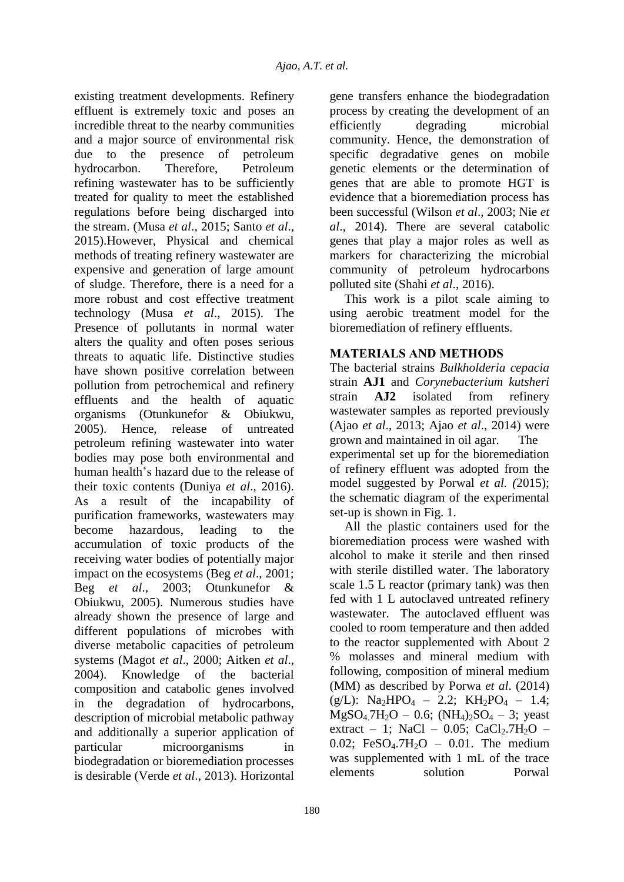existing treatment developments. Refinery effluent is extremely toxic and poses an incredible threat to the nearby communities and a major source of environmental risk due to the presence of petroleum hydrocarbon. Therefore, Petroleum refining wastewater has to be sufficiently treated for quality to meet the established regulations before being discharged into the stream. (Musa *et al*., 2015; Santo *et al*., 2015).However, Physical and chemical methods of treating refinery wastewater are expensive and generation of large amount of sludge. Therefore, there is a need for a more robust and cost effective treatment technology (Musa *et al*., 2015). The Presence of pollutants in normal water alters the quality and often poses serious threats to aquatic life. Distinctive studies have shown positive correlation between pollution from petrochemical and refinery effluents and the health of aquatic organisms (Otunkunefor & Obiukwu, 2005). Hence, release of untreated petroleum refining wastewater into water bodies may pose both environmental and human health's hazard due to the release of their toxic contents (Duniya *et al*., 2016). As a result of the incapability of purification frameworks, wastewaters may become hazardous, leading to the accumulation of toxic products of the receiving water bodies of potentially major impact on the ecosystems (Beg *et al*., 2001; Beg *et al*., 2003; Otunkunefor & Obiukwu, 2005). Numerous studies have already shown the presence of large and different populations of microbes with diverse metabolic capacities of petroleum systems (Magot *et al*., 2000; Aitken *et al*., 2004). Knowledge of the bacterial composition and catabolic genes involved in the degradation of hydrocarbons, description of microbial metabolic pathway and additionally a superior application of particular microorganisms in biodegradation or bioremediation processes is desirable (Verde *et al*., 2013). Horizontal

gene transfers enhance the biodegradation process by creating the development of an efficiently degrading microbial community. Hence, the demonstration of specific degradative genes on mobile genetic elements or the determination of genes that are able to promote HGT is evidence that a bioremediation process has been successful (Wilson *et al*., 2003; Nie *et al*., 2014). There are several catabolic genes that play a major roles as well as markers for characterizing the microbial community of petroleum hydrocarbons polluted site (Shahi *et al*., 2016).

This work is a pilot scale aiming to using aerobic treatment model for the bioremediation of refinery effluents.

# **MATERIALS AND METHODS**

The bacterial strains *Bulkholderia cepacia* strain **AJ1** and *Corynebacterium kutsheri* strain **AJ2** isolated from refinery wastewater samples as reported previously (Ajao *et al*., 2013; Ajao *et al*., 2014) were grown and maintained in oil agar. The experimental set up for the bioremediation of refinery effluent was adopted from the model suggested by Porwal *et al. (*2015); the schematic diagram of the experimental set-up is shown in Fig. 1.

All the plastic containers used for the bioremediation process were washed with alcohol to make it sterile and then rinsed with sterile distilled water. The laboratory scale 1.5 L reactor (primary tank) was then fed with 1 L autoclaved untreated refinery wastewater. The autoclaved effluent was cooled to room temperature and then added to the reactor supplemented with About 2 % molasses and mineral medium with following, composition of mineral medium (MM) as described by Porwa *et al*. (2014)  $(g/L):$  Na<sub>2</sub>HPO<sub>4</sub> – 2.2; KH<sub>2</sub>PO<sub>4</sub> – 1.4;  $MgSO_4.7H_2O - 0.6$ ;  $(NH_4)_2SO_4 - 3$ ; yeast extract – 1; NaCl – 0.05; CaCl<sub>2</sub>.7H<sub>2</sub>O – 0.02; FeSO<sub>4</sub>.7H<sub>2</sub>O – 0.01. The medium was supplemented with 1 mL of the trace elements solution Porwal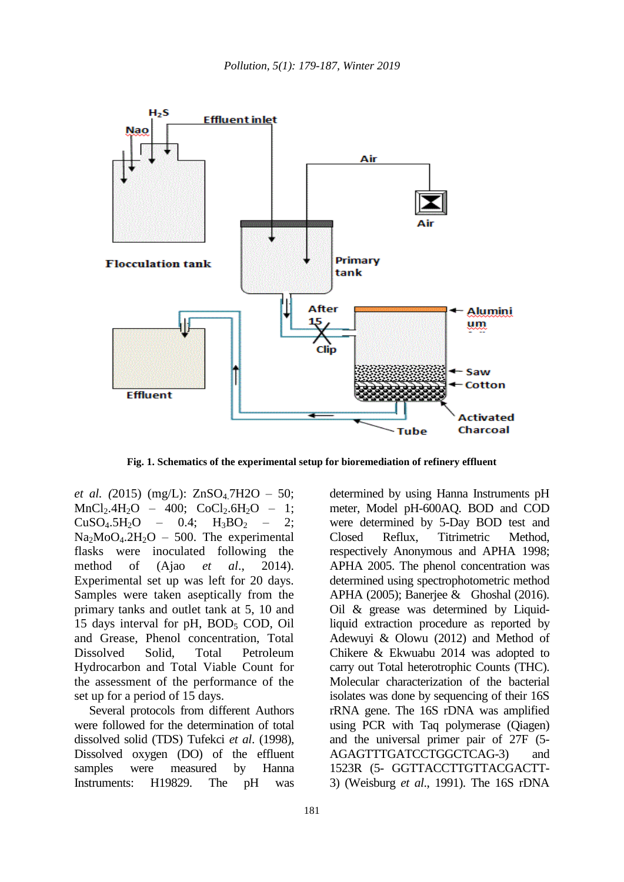

**Fig. 1. Schematics of the experimental setup for bioremediation of refinery effluent**

*et al.* (2015) (mg/L): ZnSO<sub>4</sub>.7H2O - 50;  $MnCl<sub>2</sub>.4H<sub>2</sub>O - 400$ ;  $CoCl<sub>2</sub>.6H<sub>2</sub>O - 1$ ;  $CuSO<sub>4</sub>.5H<sub>2</sub>O$  – 0.4;  $H<sub>3</sub>BO<sub>2</sub>$  – 2;  $Na<sub>2</sub>MoO<sub>4</sub>.2H<sub>2</sub>O - 500$ . The experimental flasks were inoculated following the method of (Ajao *et al*., 2014). Experimental set up was left for 20 days. Samples were taken aseptically from the primary tanks and outlet tank at 5, 10 and 15 days interval for pH,  $BOD<sub>5</sub>$  COD, Oil and Grease, Phenol concentration, Total Dissolved Solid, Total Petroleum Hydrocarbon and Total Viable Count for the assessment of the performance of the set up for a period of 15 days.

Several protocols from different Authors were followed for the determination of total dissolved solid (TDS) Tufekci *et al*. (1998), Dissolved oxygen (DO) of the effluent samples were measured by Hanna Instruments: H19829. The pH was determined by using Hanna Instruments pH meter, Model pH-600AQ. BOD and COD were determined by 5-Day BOD test and Closed Reflux, Titrimetric Method, respectively Anonymous and APHA 1998; APHA 2005. The phenol concentration was determined using spectrophotometric method APHA (2005); Banerjee & Ghoshal (2016). Oil & grease was determined by Liquidliquid extraction procedure as reported by Adewuyi & Olowu (2012) and Method of Chikere & Ekwuabu 2014 was adopted to carry out Total heterotrophic Counts (THC). Molecular characterization of the bacterial isolates was done by sequencing of their 16S rRNA gene. The 16S rDNA was amplified using PCR with Taq polymerase (Qiagen) and the universal primer pair of 27F (5- AGAGTTTGATCCTGGCTCAG-3) and 1523R (5- GGTTACCTTGTTACGACTT-3) (Weisburg *et al*., 1991). The 16S rDNA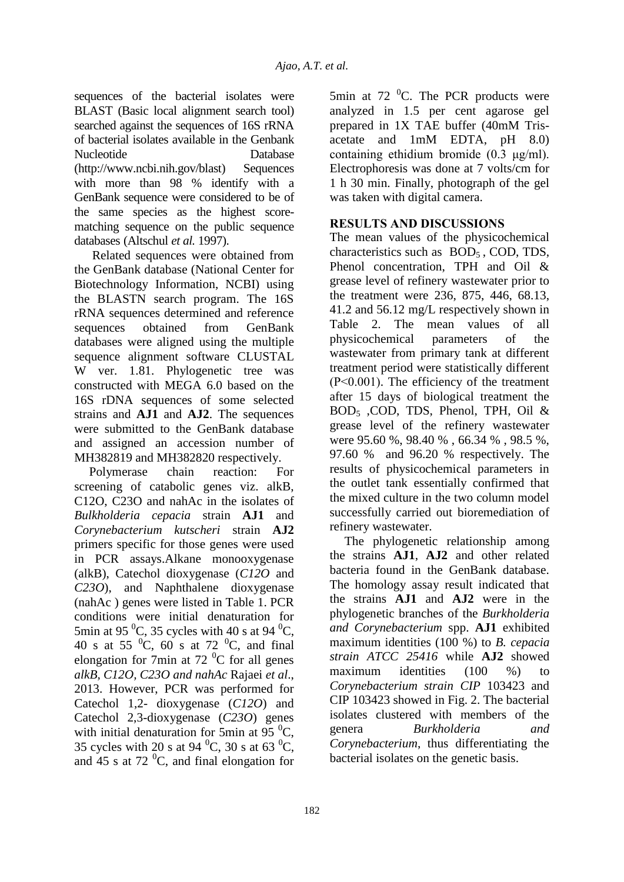sequences of the bacterial isolates were BLAST (Basic local alignment search tool) searched against the sequences of 16S rRNA of bacterial isolates available in the Genbank Nucleotide Database (http://www.ncbi.nih.gov/blast) Sequences with more than 98 % identify with a GenBank sequence were considered to be of the same species as the highest scorematching sequence on the public sequence databases (Altschul *et al.* 1997).

Related sequences were obtained from the GenBank database (National Center for Biotechnology Information, NCBI) using the BLASTN search program. The 16S rRNA sequences determined and reference sequences obtained from GenBank databases were aligned using the multiple sequence alignment software CLUSTAL W ver. 1.81. Phylogenetic tree was constructed with MEGA 6.0 based on the 16S rDNA sequences of some selected strains and **AJ1** and **AJ2**. The sequences were submitted to the GenBank database and assigned an accession number of MH382819 and MH382820 respectively.

Polymerase chain reaction: For screening of catabolic genes viz. alkB, C12O, C23O and nahAc in the isolates of *Bulkholderia cepacia* strain **AJ1** and *Corynebacterium kutscheri* strain **AJ2** primers specific for those genes were used in PCR assays.Alkane monooxygenase (alkB), Catechol dioxygenase (*C12O* and *C23O*), and Naphthalene dioxygenase (nahAc ) genes were listed in Table 1. PCR conditions were initial denaturation for 5min at 95 $^{0}$ C, 35 cycles with 40 s at 94 $^{0}$ C, 40 s at 55  $^{0}C$ , 60 s at 72  $^{0}C$ , and final elongation for 7min at 72 $^{0}$ C for all genes *alkB, C12O, C23O and nahAc* Rajaei *et al*., 2013. However, PCR was performed for Catechol 1,2- dioxygenase (*C12O*) and Catechol 2,3-dioxygenase (*C23O*) genes with initial denaturation for 5min at 95 $\mathrm{^{0}C}$ , 35 cycles with 20 s at 94  $^0C$ , 30 s at 63  $^0C$ , and 45 s at 72 $^{0}$ C, and final elongation for

5min at 72 $\degree$ C. The PCR products were analyzed in 1.5 per cent agarose gel prepared in 1X TAE buffer (40mM Trisacetate and 1mM EDTA, pH 8.0) containing ethidium bromide (0.3 μg/ml). Electrophoresis was done at 7 volts/cm for 1 h 30 min. Finally, photograph of the gel was taken with digital camera.

## **RESULTS AND DISCUSSIONS**

The mean values of the physicochemical characteristics such as BOD5 , COD, TDS, Phenol concentration, TPH and Oil & grease level of refinery wastewater prior to the treatment were 236, 875, 446, 68.13, 41.2 and 56.12 mg/L respectively shown in Table 2. The mean values of all physicochemical parameters of the wastewater from primary tank at different treatment period were statistically different (P˂0.001). The efficiency of the treatment after 15 days of biological treatment the BOD<sup>5</sup> ,COD, TDS, Phenol, TPH, Oil & grease level of the refinery wastewater were 95.60 %, 98.40 % , 66.34 % , 98.5 %, 97.60 % and 96.20 % respectively. The results of physicochemical parameters in the outlet tank essentially confirmed that the mixed culture in the two column model successfully carried out bioremediation of refinery wastewater.

The phylogenetic relationship among the strains **AJ1**, **AJ2** and other related bacteria found in the GenBank database. The homology assay result indicated that the strains **AJ1** and **AJ2** were in the phylogenetic branches of the *Burkholderia and Corynebacterium* spp. **AJ1** exhibited maximum identities (100 %) to *B. cepacia strain ATCC 25416* while **AJ2** showed maximum identities (100 %) to *Corynebacterium strain CIP* 103423 and CIP 103423 showed in Fig. 2. The bacterial isolates clustered with members of the genera *Burkholderia and Corynebacterium*, thus differentiating the bacterial isolates on the genetic basis.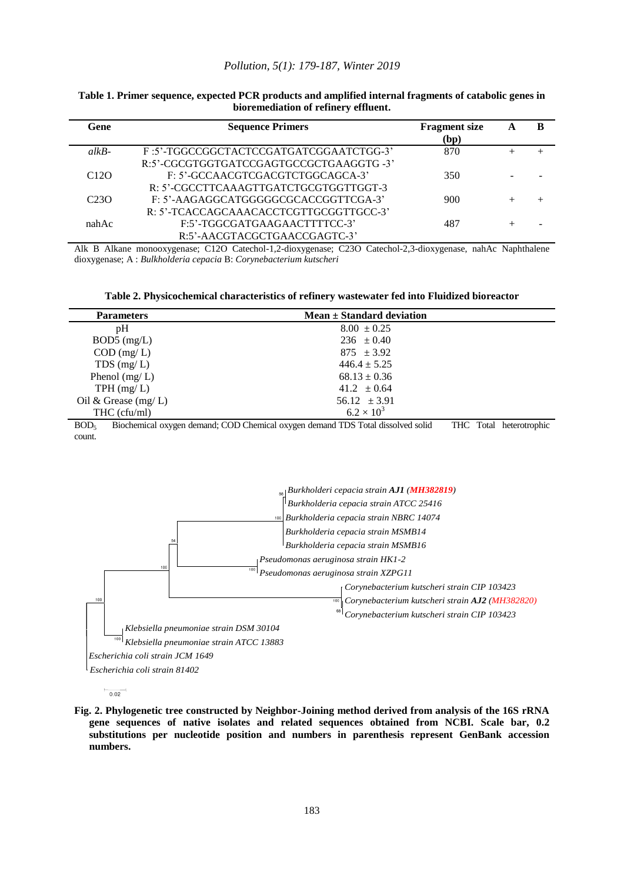#### *Pollution, 5(1): 179-187, Winter 2019*

| Gene              | <b>Sequence Primers</b>                | <b>Fragment</b> size<br>(bp) |  |
|-------------------|----------------------------------------|------------------------------|--|
| $alkB-$           | F:5'-TGGCCGGCTACTCCGATGATCGGAATCTGG-3' | 870                          |  |
|                   | R:5'-CGCGTGGTGATCCGAGTGCCGCTGAAGGTG-3' |                              |  |
| C <sub>12</sub> O | F: 5'-GCCAACGTCGACGTCTGGCAGCA-3'       | 350                          |  |
|                   | R: 5'-CGCCTTCAAAGTTGATCTGCGTGGTTGGT-3  |                              |  |
| C <sub>23</sub> O | F: 5'-AAGAGGCATGGGGGCGCACCGGTTCGA-3'   | 900                          |  |
|                   | R: 5'-TCACCAGCAAACACCTCGTTGCGGTTGCC-3' |                              |  |
| nahAc             | F:5'-TGGCGATGAAGAACTTTTCC-3'           | 487                          |  |
|                   | R:5'-AACGTACGCTGAACCGAGTC-3'           |                              |  |

#### **Table 1. Primer sequence, expected PCR products and amplified internal fragments of catabolic genes in bioremediation of refinery effluent.**

Alk B Alkane monooxygenase; C12O Catechol-1,2-dioxygenase; C23O Catechol-2,3-dioxygenase, nahAc Naphthalene dioxygenase; A : *Bulkholderia cepacia* B: *Corynebacterium kutscheri*

| Table 2. Physicochemical characteristics of refinery wastewater fed into Fluidized bioreactor |  |  |  |  |  |  |
|-----------------------------------------------------------------------------------------------|--|--|--|--|--|--|
|-----------------------------------------------------------------------------------------------|--|--|--|--|--|--|

| <b>Parameters</b>        | Mean $\pm$ Standard deviation          |
|--------------------------|----------------------------------------|
| pH                       | $8.00 \pm 0.25$                        |
| $BOD5$ (mg/L)            | $236 \pm 0.40$                         |
| $COD$ (mg/L)             | $875 \pm 3.92$                         |
| TDS $(mg/L)$             | $446.4 \pm 5.25$                       |
| Phenol $(mg/L)$          | $68.13 \pm 0.36$                       |
| TPH (mg/L)               | $41.2 \pm 0.64$                        |
| Oil & Grease $(mg/L)$    | 56.12 $\pm 3.91$                       |
| THC (cfu/ml)             | $6.2 \times 10^{3}$                    |
| $\mathbf{r}$<br>.<br>. . | 1.005.01<br>$T = T$<br>$\cdot$ $\cdot$ |

BOD<sup>5</sup> Biochemical oxygen demand; COD Chemical oxygen demand TDS Total dissolved solid THC Total heterotrophic count.



 $\frac{}{0.02}$ 

**Fig. 2. Phylogenetic tree constructed by Neighbor-Joining method derived from analysis of the 16S rRNA gene sequences of native isolates and related sequences obtained from NCBI. Scale bar, 0.2 substitutions per nucleotide position and numbers in parenthesis represent GenBank accession numbers.**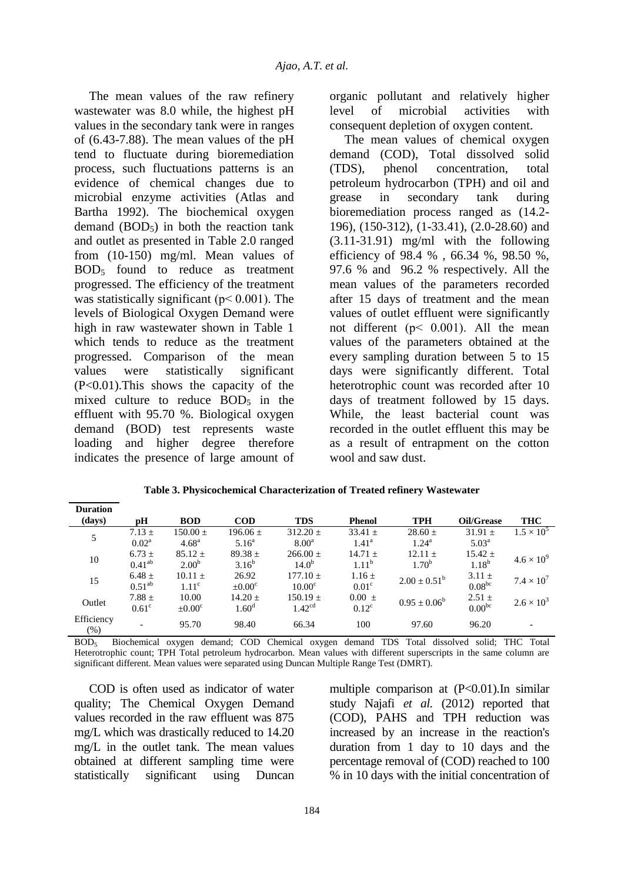The mean values of the raw refinery wastewater was 8.0 while, the highest pH values in the secondary tank were in ranges of (6.43-7.88). The mean values of the pH tend to fluctuate during bioremediation process, such fluctuations patterns is an evidence of chemical changes due to microbial enzyme activities (Atlas and Bartha 1992). The biochemical oxygen demand  $(BOD<sub>5</sub>)$  in both the reaction tank and outlet as presented in Table 2.0 ranged from (10-150) mg/ml. Mean values of BOD<sup>5</sup> found to reduce as treatment progressed. The efficiency of the treatment was statistically significant ( $p < 0.001$ ). The levels of Biological Oxygen Demand were high in raw wastewater shown in Table 1 which tends to reduce as the treatment progressed. Comparison of the mean values were statistically significant (P<0.01).This shows the capacity of the mixed culture to reduce  $BOD<sub>5</sub>$  in the effluent with 95.70 %. Biological oxygen demand (BOD) test represents waste loading and higher degree therefore indicates the presence of large amount of

organic pollutant and relatively higher level of microbial activities with consequent depletion of oxygen content.

The mean values of chemical oxygen demand (COD), Total dissolved solid (TDS), phenol concentration, total petroleum hydrocarbon (TPH) and oil and grease in secondary tank during bioremediation process ranged as (14.2- 196), (150-312), (1-33.41), (2.0-28.60) and (3.11-31.91) mg/ml with the following efficiency of 98.4 % , 66.34 %, 98.50 %, 97.6 % and 96.2 % respectively. All the mean values of the parameters recorded after 15 days of treatment and the mean values of outlet effluent were significantly not different ( $p < 0.001$ ). All the mean values of the parameters obtained at the every sampling duration between 5 to 15 days were significantly different. Total heterotrophic count was recorded after 10 days of treatment followed by 15 days. While, the least bacterial count was recorded in the outlet effluent this may be as a result of entrapment on the cotton wool and saw dust.

| <b>Duration</b>      |                          |                    |                    |                    |                   |                   |                |                     |
|----------------------|--------------------------|--------------------|--------------------|--------------------|-------------------|-------------------|----------------|---------------------|
| (days)               | pН                       | <b>BOD</b>         | <b>COD</b>         | <b>TDS</b>         | <b>Phenol</b>     | <b>TPH</b>        | Oil/Grease     | THC                 |
| 5                    | $7.13 \pm$               | $150.00 \pm$       | $196.06 \pm$       | $312.20 \pm$       | $33.41 \pm$       | $28.60 \pm$       | $31.91 \pm$    | $1.5 \times 10^5$   |
|                      | $0.02^{\rm a}$           | $4.68^{\rm a}$     | $5.16^{\circ}$     | $8.00^{\rm a}$     | $1.41^{\rm a}$    | $1.24^{\rm a}$    | $5.03^{\rm a}$ |                     |
| 10                   | $6.73 \pm$               | $85.12 \pm$        | $89.38 \pm$        | $266.00 \pm$       | $14.71 \pm$       | $12.11 \pm$       | $15.42 \pm$    | $4.6 \times 10^{9}$ |
|                      | $0.41^{ab}$              | $2.00^{b}$         | $3.16^{b}$         | $14.0^{b}$         | $1.11^{b}$        | $1.70^{b}$        | $1.18^{b}$     |                     |
| 15                   | $6.48 \pm$               | $10.11 \pm$        | 26.92              | $177.10 \pm$       | $1.16 \pm$        | $2.00 \pm 0.51^b$ | $3.11 \pm$     | $7.4 \times 10^{7}$ |
|                      | 0.51 <sup>ab</sup>       | $1.11^{\circ}$     | $\pm 0.00^{\circ}$ | 10.00 <sup>c</sup> | 0.01 <sup>c</sup> |                   | $0.08^{bc}$    |                     |
| Outlet               | $7.88 \pm$               | 10.00              | $14.20 \pm$        | $150.19 \pm$       | $0.00 \pm$        | $0.95 \pm 0.06^b$ | $2.51 \pm$     | $2.6 \times 10^{3}$ |
|                      | 0.61 <sup>c</sup>        | $\pm 0.00^{\circ}$ | 1.60 <sup>d</sup>  | 1.42 <sup>cd</sup> | $0.12^{\circ}$    |                   | $0.00^{bc}$    |                     |
| Efficiency<br>$(\%)$ | $\overline{\phantom{0}}$ | 95.70              | 98.40              | 66.34              | 100               | 97.60             | 96.20          |                     |

**Table 3. Physicochemical Characterization of Treated refinery Wastewater** 

BOD<sup>5</sup> Biochemical oxygen demand; COD Chemical oxygen demand TDS Total dissolved solid; THC Total Heterotrophic count; TPH Total petroleum hydrocarbon. Mean values with different superscripts in the same column are significant different. Mean values were separated using Duncan Multiple Range Test (DMRT).

COD is often used as indicator of water quality; The Chemical Oxygen Demand values recorded in the raw effluent was 875 mg/L which was drastically reduced to 14.20 mg/L in the outlet tank. The mean values obtained at different sampling time were statistically significant using Duncan multiple comparison at (P<0.01).In similar study Najafi *et al.* (2012) reported that (COD), PAHS and TPH reduction was increased by an increase in the reaction's duration from 1 day to 10 days and the percentage removal of (COD) reached to 100 % in 10 days with the initial concentration of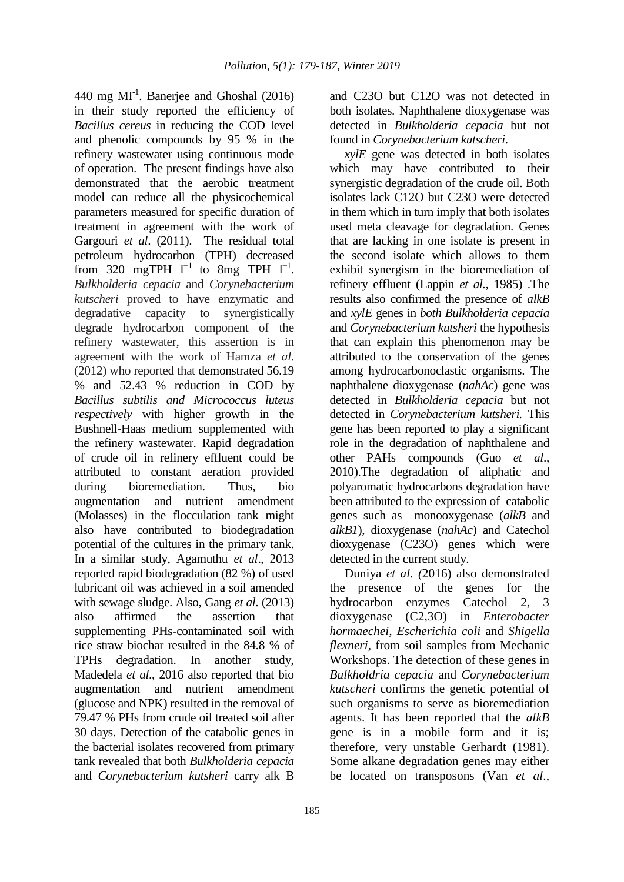440 mg  $MI<sup>-1</sup>$ . Banerjee and Ghoshal (2016) in their study reported the efficiency of *Bacillus cereus* in reducing the COD level and phenolic compounds by 95 % in the refinery wastewater using continuous mode of operation. The present findings have also demonstrated that the aerobic treatment model can reduce all the physicochemical parameters measured for specific duration of treatment in agreement with the work of Gargouri *et al*. (2011). The residual total petroleum hydrocarbon (TPH) decreased from 320 mgTPH  $1^{-1}$  to 8mg TPH  $1^{-1}$ . *Bulkholderia cepacia* and *Corynebacterium kutscheri* proved to have enzymatic and degradative capacity to synergistically degrade hydrocarbon component of the refinery wastewater, this assertion is in agreement with the work of Hamza *et al*. (2012) who reported that demonstrated 56.19 % and 52.43 % reduction in COD by *Bacillus subtilis and Micrococcus luteus respectively* with higher growth in the Bushnell-Haas medium supplemented with the refinery wastewater. Rapid degradation of crude oil in refinery effluent could be attributed to constant aeration provided during bioremediation. Thus, bio augmentation and nutrient amendment (Molasses) in the flocculation tank might also have contributed to biodegradation potential of the cultures in the primary tank. In a similar study, Agamuthu *et al*., 2013 reported rapid biodegradation (82 %) of used lubricant oil was achieved in a soil amended with sewage sludge. Also, Gang *et al*. (2013) also affirmed the assertion that supplementing PHs-contaminated soil with rice straw biochar resulted in the 84.8 % of TPHs degradation. In another study, Madedela *et al*., 2016 also reported that bio augmentation and nutrient amendment (glucose and NPK) resulted in the removal of 79.47 % PHs from crude oil treated soil after 30 days. Detection of the catabolic genes in the bacterial isolates recovered from primary tank revealed that both *Bulkholderia cepacia*  and *Corynebacterium kutsheri* carry alk B

and C23O but C12O was not detected in both isolates. Naphthalene dioxygenase was detected in *Bulkholderia cepacia* but not found in *Corynebacterium kutscheri*.

*xylE* gene was detected in both isolates which may have contributed to their synergistic degradation of the crude oil. Both isolates lack C12O but C23O were detected in them which in turn imply that both isolates used meta cleavage for degradation. Genes that are lacking in one isolate is present in the second isolate which allows to them exhibit synergism in the bioremediation of refinery effluent (Lappin *et al.,* 1985) .The results also confirmed the presence of *alkB*  and *xylE* genes in *both Bulkholderia cepacia* and *Corynebacterium kutsheri* the hypothesis that can explain this phenomenon may be attributed to the conservation of the genes among hydrocarbonoclastic organisms. The naphthalene dioxygenase (*nahAc*) gene was detected in *Bulkholderia cepacia* but not detected in *Corynebacterium kutsheri.* This gene has been reported to play a significant role in the degradation of naphthalene and other PAHs compounds (Guo *et al*., 2010).The degradation of aliphatic and polyaromatic hydrocarbons degradation have been attributed to the expression of catabolic genes such as monooxygenase (*alkB* and *alkB1*), dioxygenase (*nahAc*) and Catechol dioxygenase (C23O) genes which were detected in the current study.

Duniya *et al. (*2016) also demonstrated the presence of the genes for the hydrocarbon enzymes Catechol 2, 3 dioxygenase (C2,3O) in *Enterobacter hormaechei, Escherichia coli* and *Shigella flexneri*, from soil samples from Mechanic Workshops. The detection of these genes in *Bulkholdria cepacia* and *Corynebacterium kutscheri* confirms the genetic potential of such organisms to serve as bioremediation agents. It has been reported that the *alkB*  gene is in a mobile form and it is; therefore, very unstable Gerhardt (1981). Some alkane degradation genes may either be located on transposons (Van *et al*.,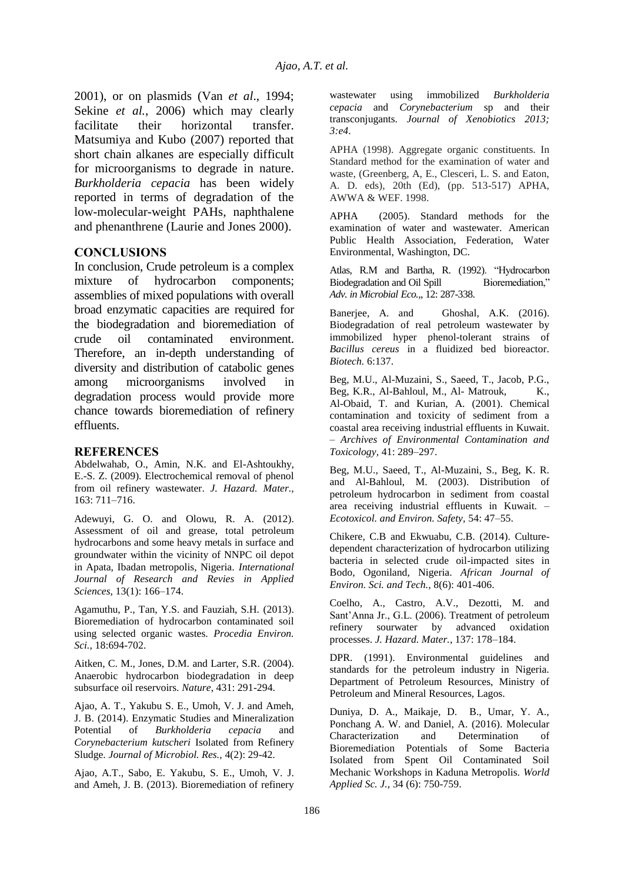2001), or on plasmids (Van *et al*., 1994; Sekine *et al.*, 2006) which may clearly facilitate their horizontal transfer. Matsumiya and Kubo (2007) reported that short chain alkanes are especially difficult for microorganisms to degrade in nature. *Burkholderia cepacia* has been widely reported in terms of degradation of the low-molecular-weight PAHs, naphthalene and phenanthrene (Laurie and Jones 2000).

## **CONCLUSIONS**

In conclusion, Crude petroleum is a complex mixture of hydrocarbon components; assemblies of mixed populations with overall broad enzymatic capacities are required for the biodegradation and bioremediation of crude oil contaminated environment. Therefore, an in-depth understanding of diversity and distribution of catabolic genes among microorganisms involved in degradation process would provide more chance towards bioremediation of refinery effluents.

## **REFERENCES**

Abdelwahab, O., Amin, N.K. and El-Ashtoukhy, E.-S. Z. (2009). Electrochemical removal of phenol from oil refinery wastewater. *J. Hazard. Mater.,* 163: 711–716.

Adewuyi, G. O. and Olowu, R. A. (2012). Assessment of oil and grease, total petroleum hydrocarbons and some heavy metals in surface and groundwater within the vicinity of NNPC oil depot in Apata, Ibadan metropolis, Nigeria. *International Journal of Research and Revies in Applied Sciences*, 13(1): 166–174.

Agamuthu, P., Tan, Y.S. and Fauziah, S.H. (2013). Bioremediation of hydrocarbon contaminated soil using selected organic wastes. *Procedia Environ. Sci.*, 18:694-702.

Aitken, C. M., Jones, D.M. and Larter, S.R. (2004). Anaerobic hydrocarbon biodegradation in deep subsurface oil reservoirs. *Nature*, 431: 291-294.

Ajao, A. T., Yakubu S. E., Umoh, V. J. and Ameh, J. B. (2014). Enzymatic Studies and Mineralization Potential of *Burkholderia cepacia* and *Corynebacterium kutscheri* Isolated from Refinery Sludge. *Journal of Microbiol. Res.,* 4(2): 29-42.

Ajao, A.T., Sabo, E. Yakubu, S. E., Umoh, V. J. and Ameh, J. B. (2013). Bioremediation of refinery wastewater using immobilized *Burkholderia cepacia* and *Corynebacterium* sp and their transconjugants. *Journal of Xenobiotics 2013;*  3:e4.

APHA (1998). Aggregate organic constituents. In Standard method for the examination of water and waste, (Greenberg, A, E., Clesceri, L. S. and Eaton, A. D. eds), 20th (Ed), (pp. 513-517) APHA, AWWA & WEF. 1998.

APHA (2005). Standard methods for the examination of water and wastewater. American Public Health Association, Federation, Water Environmental, Washington, DC.

Atlas, R.M and Bartha, R. (1992). "Hydrocarbon Biodegradation and Oil Spill *Adv. in Microbial Eco.,*, 12: 287-338.

Banerjee, A. and Ghoshal, A.K. (2016). Biodegradation of real petroleum wastewater by immobilized hyper phenol-tolerant strains of *Bacillus cereus* in a fluidized bed bioreactor. *Biotech.* 6:137.

Beg, M.U., Al-Muzaini, S., Saeed, T., Jacob, P.G., Beg, K.R., Al-Bahloul, M., Al- Matrouk, K., Al-Obaid, T. and Kurian, A. (2001). Chemical contamination and toxicity of sediment from a coastal area receiving industrial effluents in Kuwait. – *Archives of Environmental Contamination and Toxicology,* 41: 289–297.

Beg, M.U., Saeed, T., Al-Muzaini, S., Beg, K. R. and Al-Bahloul, M. (2003). Distribution of petroleum hydrocarbon in sediment from coastal area receiving industrial effluents in Kuwait. – *Ecotoxicol. and Environ. Safety,* 54: 47–55.

Chikere, C.B and Ekwuabu, C.B. (2014). Culturedependent characterization of hydrocarbon utilizing bacteria in selected crude oil-impacted sites in Bodo, Ogoniland, Nigeria. *African Journal of Environ. Sci. and Tech.,* 8(6): 401-406.

Coelho, A., Castro, A.V., Dezotti, M. and Sant'Anna Jr., G.L. (2006). Treatment of petroleum refinery sourwater by advanced oxidation processes. *J. Hazard. Mater.*, 137: 178–184.

DPR. (1991). Environmental guidelines and standards for the petroleum industry in Nigeria. Department of Petroleum Resources, Ministry of Petroleum and Mineral Resources, Lagos.

Duniya, D. A., Maikaje, D. B., Umar, Y. A., Ponchang A. W. and Daniel, A. (2016). Molecular Characterization and Determination of Bioremediation Potentials of Some Bacteria Isolated from Spent Oil Contaminated Soil Mechanic Workshops in Kaduna Metropolis. *World Applied Sc. J.,* 34 (6): 750-759.